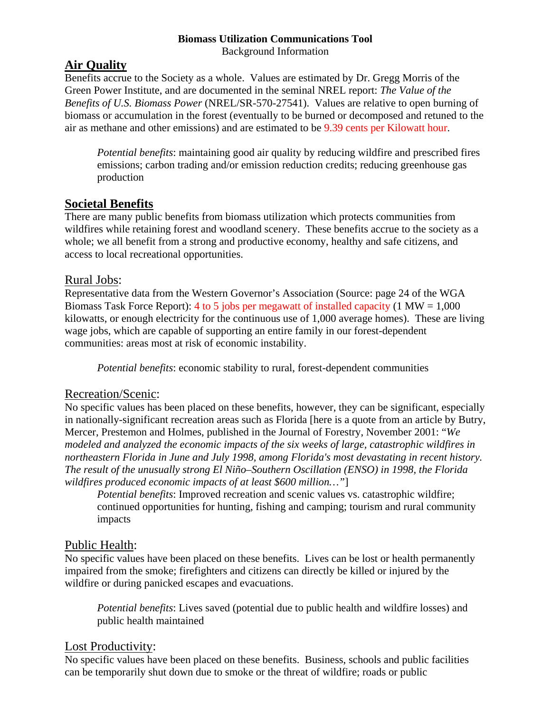#### **Biomass Utilization Communications Tool**  Background Information

## **Air Quality**

Benefits accrue to the Society as a whole. Values are estimated by Dr. Gregg Morris of the Green Power Institute, and are documented in the seminal NREL report: *The Value of the Benefits of U.S. Biomass Power* (NREL/SR-570-27541). Values are relative to open burning of biomass or accumulation in the forest (eventually to be burned or decomposed and retuned to the air as methane and other emissions) and are estimated to be 9.39 cents per Kilowatt hour.

*Potential benefits*: maintaining good air quality by reducing wildfire and prescribed fires emissions; carbon trading and/or emission reduction credits; reducing greenhouse gas production

## **Societal Benefits**

There are many public benefits from biomass utilization which protects communities from wildfires while retaining forest and woodland scenery. These benefits accrue to the society as a whole; we all benefit from a strong and productive economy, healthy and safe citizens, and access to local recreational opportunities.

### Rural Jobs:

Representative data from the Western Governor's Association (Source: page 24 of the WGA Biomass Task Force Report): 4 to 5 jobs per megawatt of installed capacity (1 MW =  $1,000$ ) kilowatts, or enough electricity for the continuous use of 1,000 average homes). These are living wage jobs, which are capable of supporting an entire family in our forest-dependent communities: areas most at risk of economic instability.

*Potential benefits*: economic stability to rural, forest-dependent communities

## Recreation/Scenic:

No specific values has been placed on these benefits, however, they can be significant, especially in nationally-significant recreation areas such as Florida [here is a quote from an article by Butry, Mercer, Prestemon and Holmes, published in the Journal of Forestry, November 2001: "*We modeled and analyzed the economic impacts of the six weeks of large, catastrophic wildfires in northeastern Florida in June and July 1998, among Florida's most devastating in recent history. The result of the unusually strong El Niño–Southern Oscillation (ENSO) in 1998, the Florida wildfires produced economic impacts of at least \$600 million…"*]

*Potential benefits*: Improved recreation and scenic values vs. catastrophic wildfire; continued opportunities for hunting, fishing and camping; tourism and rural community impacts

## Public Health:

No specific values have been placed on these benefits. Lives can be lost or health permanently impaired from the smoke; firefighters and citizens can directly be killed or injured by the wildfire or during panicked escapes and evacuations.

*Potential benefits*: Lives saved (potential due to public health and wildfire losses) and public health maintained

## Lost Productivity:

No specific values have been placed on these benefits. Business, schools and public facilities can be temporarily shut down due to smoke or the threat of wildfire; roads or public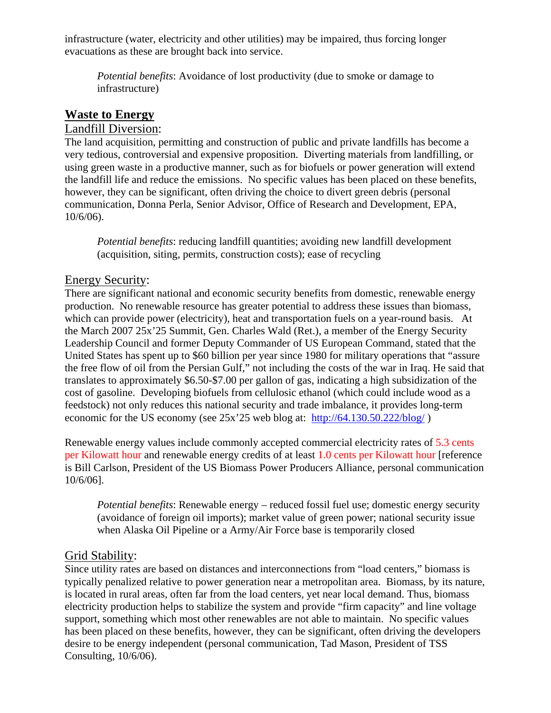infrastructure (water, electricity and other utilities) may be impaired, thus forcing longer evacuations as these are brought back into service.

*Potential benefits*: Avoidance of lost productivity (due to smoke or damage to infrastructure)

# **Waste to Energy**

#### Landfill Diversion:

The land acquisition, permitting and construction of public and private landfills has become a very tedious, controversial and expensive proposition. Diverting materials from landfilling, or using green waste in a productive manner, such as for biofuels or power generation will extend the landfill life and reduce the emissions. No specific values has been placed on these benefits, however, they can be significant, often driving the choice to divert green debris (personal communication, Donna Perla, Senior Advisor, Office of Research and Development, EPA, 10/6/06).

*Potential benefits*: reducing landfill quantities; avoiding new landfill development (acquisition, siting, permits, construction costs); ease of recycling

#### Energy Security:

There are significant national and economic security benefits from domestic, renewable energy production. No renewable resource has greater potential to address these issues than biomass, which can provide power (electricity), heat and transportation fuels on a year-round basis. At the March 2007 25x'25 Summit, Gen. Charles Wald (Ret.), a member of the Energy Security Leadership Council and former Deputy Commander of US European Command, stated that the United States has spent up to \$60 billion per year since 1980 for military operations that "assure the free flow of oil from the Persian Gulf," not including the costs of the war in Iraq. He said that translates to approximately \$6.50-\$7.00 per gallon of gas, indicating a high subsidization of the cost of gasoline. Developing biofuels from cellulosic ethanol (which could include wood as a feedstock) not only reduces this national security and trade imbalance, it provides long-term economic for the US economy (see 25x'25 web blog at: <http://64.130.50.222/blog/>)

Renewable energy values include commonly accepted commercial electricity rates of 5.3 cents per Kilowatt hour and renewable energy credits of at least 1.0 cents per Kilowatt hour [reference is Bill Carlson, President of the US Biomass Power Producers Alliance, personal communication 10/6/06].

*Potential benefits*: Renewable energy – reduced fossil fuel use; domestic energy security (avoidance of foreign oil imports); market value of green power; national security issue when Alaska Oil Pipeline or a Army/Air Force base is temporarily closed

### Grid Stability:

Since utility rates are based on distances and interconnections from "load centers," biomass is typically penalized relative to power generation near a metropolitan area. Biomass, by its nature, is located in rural areas, often far from the load centers, yet near local demand. Thus, biomass electricity production helps to stabilize the system and provide "firm capacity" and line voltage support, something which most other renewables are not able to maintain. No specific values has been placed on these benefits, however, they can be significant, often driving the developers desire to be energy independent (personal communication, Tad Mason, President of TSS Consulting, 10/6/06).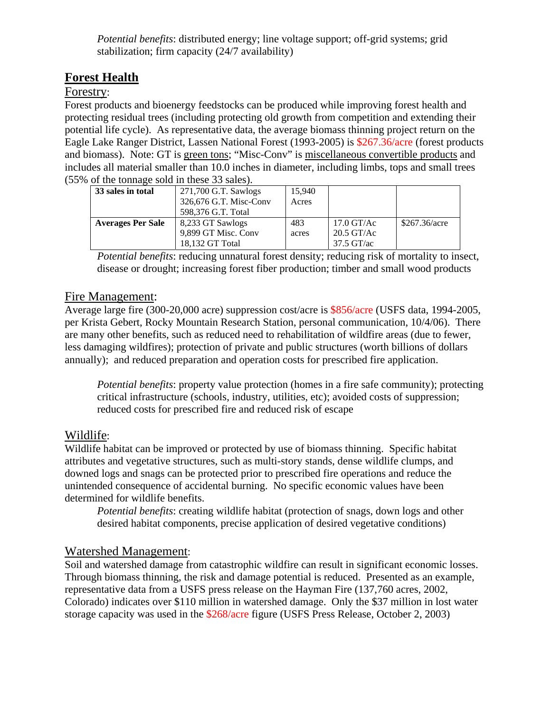*Potential benefits*: distributed energy; line voltage support; off-grid systems; grid stabilization; firm capacity (24/7 availability)

## **Forest Health**

#### Forestry:

Forest products and bioenergy feedstocks can be produced while improving forest health and protecting residual trees (including protecting old growth from competition and extending their potential life cycle). As representative data, the average biomass thinning project return on the Eagle Lake Ranger District, Lassen National Forest (1993-2005) is \$267.36/acre (forest products and biomass). Note: GT is green tons; "Misc-Conv" is miscellaneous convertible products and includes all material smaller than 10.0 inches in diameter, including limbs, tops and small trees (55% of the tonnage sold in these 33 sales).

| 33 sales in total        | 271,700 G.T. Sawlogs<br>326,676 G.T. Misc-Conv<br>598,376 G.T. Total | 15.940<br>Acres |                                                      |               |
|--------------------------|----------------------------------------------------------------------|-----------------|------------------------------------------------------|---------------|
| <b>Averages Per Sale</b> | 8,233 GT Sawlogs<br>9,899 GT Misc. Conv<br>18.132 GT Total           | 483<br>acres    | $17.0$ GT/Ac<br>$20.5$ GT/Ac<br>$37.5 \text{ GT/ac}$ | \$267.36/acre |

*Potential benefits*: reducing unnatural forest density; reducing risk of mortality to insect, disease or drought; increasing forest fiber production; timber and small wood products

### Fire Management:

Average large fire (300-20,000 acre) suppression cost/acre is \$856/acre (USFS data, 1994-2005, per Krista Gebert, Rocky Mountain Research Station, personal communication, 10/4/06). There are many other benefits, such as reduced need to rehabilitation of wildfire areas (due to fewer, less damaging wildfires); protection of private and public structures (worth billions of dollars annually); and reduced preparation and operation costs for prescribed fire application.

*Potential benefits*: property value protection (homes in a fire safe community); protecting critical infrastructure (schools, industry, utilities, etc); avoided costs of suppression; reduced costs for prescribed fire and reduced risk of escape

### Wildlife:

Wildlife habitat can be improved or protected by use of biomass thinning. Specific habitat attributes and vegetative structures, such as multi-story stands, dense wildlife clumps, and downed logs and snags can be protected prior to prescribed fire operations and reduce the unintended consequence of accidental burning. No specific economic values have been determined for wildlife benefits.

*Potential benefits*: creating wildlife habitat (protection of snags, down logs and other desired habitat components, precise application of desired vegetative conditions)

### Watershed Management:

Soil and watershed damage from catastrophic wildfire can result in significant economic losses. Through biomass thinning, the risk and damage potential is reduced. Presented as an example, representative data from a USFS press release on the Hayman Fire (137,760 acres, 2002, Colorado) indicates over \$110 million in watershed damage. Only the \$37 million in lost water storage capacity was used in the \$268/acre figure (USFS Press Release, October 2, 2003)